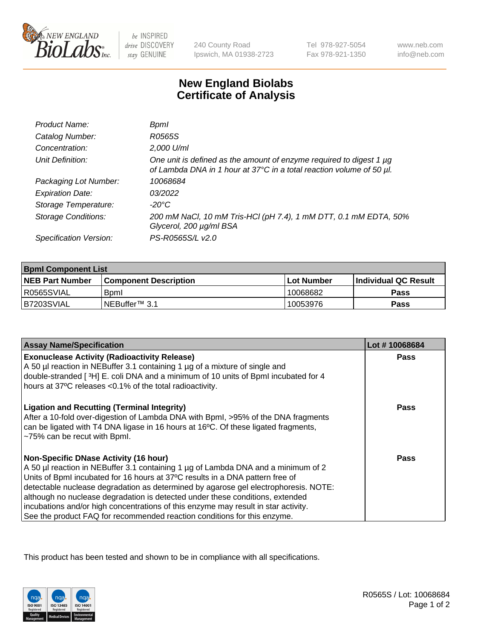

 $be$  INSPIRED drive DISCOVERY stay GENUINE

240 County Road Ipswich, MA 01938-2723 Tel 978-927-5054 Fax 978-921-1350

www.neb.com info@neb.com

## **New England Biolabs Certificate of Analysis**

| Product Name:              | Bpml                                                                                                                                             |
|----------------------------|--------------------------------------------------------------------------------------------------------------------------------------------------|
| Catalog Number:            | R0565S                                                                                                                                           |
| Concentration:             | 2,000 U/ml                                                                                                                                       |
| Unit Definition:           | One unit is defined as the amount of enzyme required to digest 1 $\mu$ g<br>of Lambda DNA in 1 hour at 37°C in a total reaction volume of 50 µl. |
| Packaging Lot Number:      | 10068684                                                                                                                                         |
| <b>Expiration Date:</b>    | 03/2022                                                                                                                                          |
| Storage Temperature:       | $-20^{\circ}$ C                                                                                                                                  |
| <b>Storage Conditions:</b> | 200 mM NaCl, 10 mM Tris-HCl (pH 7.4), 1 mM DTT, 0.1 mM EDTA, 50%<br>Glycerol, 200 µg/ml BSA                                                      |
| Specification Version:     | PS-R0565S/L v2.0                                                                                                                                 |

| <b>Bpml Component List</b> |                         |             |                             |  |
|----------------------------|-------------------------|-------------|-----------------------------|--|
| <b>NEB Part Number</b>     | l Component Description | ⊺Lot Number | <b>Individual QC Result</b> |  |
| I R0565SVIAL               | <b>B</b> oml            | 10068682    | Pass                        |  |
| B7203SVIAL                 | INEBuffer™ 3.1          | 10053976    | Pass                        |  |

| <b>Assay Name/Specification</b>                                                                                                                                                                                                                                                                                                                                                                                                                                                                                                                              | Lot #10068684 |
|--------------------------------------------------------------------------------------------------------------------------------------------------------------------------------------------------------------------------------------------------------------------------------------------------------------------------------------------------------------------------------------------------------------------------------------------------------------------------------------------------------------------------------------------------------------|---------------|
| <b>Exonuclease Activity (Radioactivity Release)</b><br>A 50 µl reaction in NEBuffer 3.1 containing 1 µg of a mixture of single and<br>double-stranded [3H] E. coli DNA and a minimum of 10 units of BpmI incubated for 4<br>hours at 37°C releases <0.1% of the total radioactivity.                                                                                                                                                                                                                                                                         | <b>Pass</b>   |
| <b>Ligation and Recutting (Terminal Integrity)</b><br>After a 10-fold over-digestion of Lambda DNA with Bpml, >95% of the DNA fragments<br>can be ligated with T4 DNA ligase in 16 hours at 16°C. Of these ligated fragments,<br>~75% can be recut with Bpml.                                                                                                                                                                                                                                                                                                | Pass          |
| <b>Non-Specific DNase Activity (16 hour)</b><br>A 50 µl reaction in NEBuffer 3.1 containing 1 µg of Lambda DNA and a minimum of 2<br>Units of BpmI incubated for 16 hours at 37°C results in a DNA pattern free of<br>detectable nuclease degradation as determined by agarose gel electrophoresis. NOTE:<br>although no nuclease degradation is detected under these conditions, extended<br>incubations and/or high concentrations of this enzyme may result in star activity.<br>See the product FAQ for recommended reaction conditions for this enzyme. | Pass          |

This product has been tested and shown to be in compliance with all specifications.